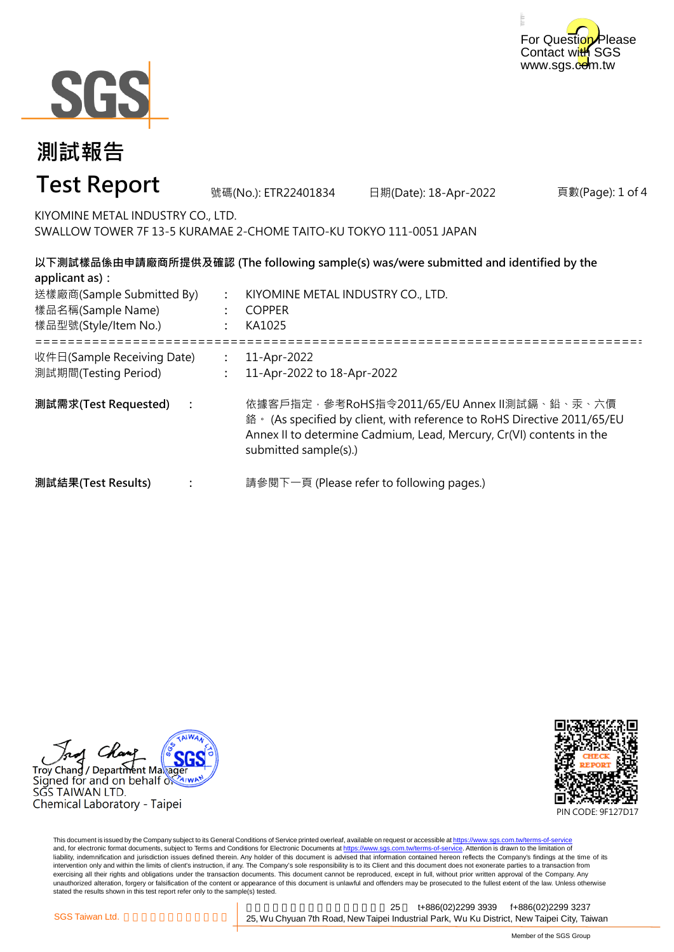



#### 頁數(Page): 1 of 4 **: : :** ===================================================================================================== **: : : 測試需求(Test Requested) :** 11-Apr-2022 11-Apr-2022 to 18-Apr-2022 依據客戶指定,參考RoHS指令2011/65/EU Annex II測試鎘、鉛、汞、六價 鉻。 (As specified by client, with reference to RoHS Directive 2011/65/EU Annex II to determine Cadmium, Lead, Mercury, Cr(VI) contents in the submitted sample(s).) 請參閱下一頁 (Please refer to following pages.) **以下測試樣品係由申請廠商所提供及確認 (The following sample(s) was/were submitted and identified by the applicant as):** KIYOMINE METAL INDUSTRY CO., LTD. COPPER KA1025 **測試結果(Test Results)** 樣品名稱(Sample Name) 樣品型號(Style/Item No.) 送樣廠商(Sample Submitted By) 收件日(Sample Receiving Date) 測試期間(Testing Period) 號碼(No.): ETR22401834 日期(Date): 18-Apr-2022 **測試報告 Test Report** KIYOMINE METAL INDUSTRY CO., LTD. SWALLOW TOWER 7F 13-5 KURAMAE 2-CHOME TAITO-KU TOKYO 111-0051 JAPAN

Troy Chang / Department Maka Signed for and on behalf  $\delta$ SGS TAIWAN LTD. Chemical Laboratory - Taipei



This document is issued by the Company subject to its General Conditions of Service printed overleaf, available on request or accessible at https://www.sgs.com.tw/terms-of-service and, for electronic format documents, subject to Terms and Conditions for Electronic Documents at https://www.sgs.com.tw/terms-of-service. Attention is drawn to the limitation of liability, indemnification and jurisdiction issues defined therein. Any holder of this document is advised that information contained hereon reflects the Company's findings at the time of its intervention only and within the limits of client's instruction, if any. The Company's sole responsibility is to its Client and this document does not exonerate parties to a transaction from exercising all their rights and obligations under the transaction documents. This document cannot be reproduced, except in full, without prior written approval of the Company. Any<br>unauthorized alteration, forgery or falsif stated the results shown in this test report refer only to the sample(s) tested.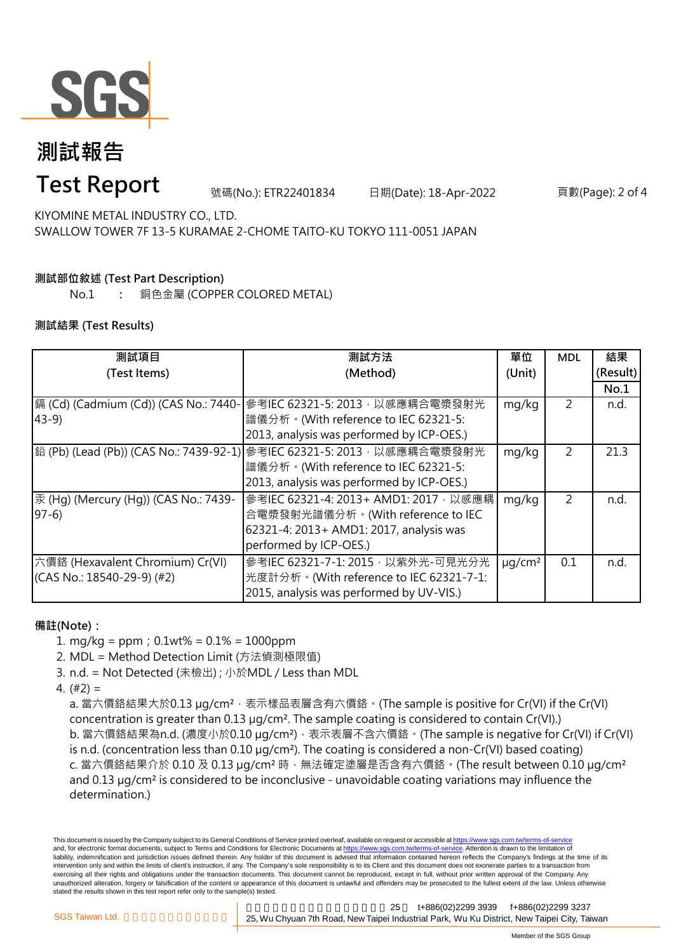

# **測試報告**

### **Test Report**

號碼(No.): ETR22401834 日期(Date): 18-Apr-2022 頁數(Page): 2 of 4

KIYOMINE METAL INDUSTRY CO., LTD. SWALLOW TOWER 7F 13-5 KURAMAE 2-CHOME TAITO-KU TOKYO 111-0051 JAPAN

### **測試部位敘述 (Test Part Description)**

No.1 **:** 銅色金屬 (COPPER COLORED METAL)

#### **測試結果 (Test Results)**

| 測試項目                                  | 測試方法                                                                   | 單位           | <b>MDL</b> | 結果       |
|---------------------------------------|------------------------------------------------------------------------|--------------|------------|----------|
| (Test Items)                          | (Method)                                                               | (Unit)       |            | (Result) |
|                                       |                                                                        |              |            | No.1     |
| 鎘 (Cd) (Cadmium (Cd)) (CAS No.: 7440- | 參考IEC 62321-5: 2013, 以感應耦合電漿發射光                                        | mg/kg        | 2          | n.d.     |
| $43-9$                                | 譜儀分析。(With reference to IEC 62321-5:                                   |              |            |          |
|                                       | 2013, analysis was performed by ICP-OES.)                              |              |            |          |
|                                       | 鉛 (Pb) (Lead (Pb)) (CAS No.: 7439-92-1) 參考IEC 62321-5: 2013,以感應耦合電漿發射光 | mg/kg        | 2          | 21.3     |
|                                       | 譜儀分析。(With reference to IEC 62321-5:                                   |              |            |          |
|                                       | 2013, analysis was performed by ICP-OES.)                              |              |            |          |
| 汞 (Hg) (Mercury (Hg)) (CAS No.: 7439- | 參考IEC 62321-4: 2013+ AMD1: 2017, 以感應耦                                  | mg/kg        | 2          | n.d.     |
| $97-6$                                | 合電漿發射光譜儀分析。(With reference to IEC                                      |              |            |          |
|                                       | 62321-4: 2013+ AMD1: 2017, analysis was                                |              |            |          |
|                                       | performed by ICP-OES.)                                                 |              |            |          |
| 六價鉻 (Hexavalent Chromium) Cr(VI)      | 參考IEC 62321-7-1: 2015, 以紫外光-可見光分光                                      | $\mu q/cm^2$ | 0.1        | n.d.     |
| $(CAS No.: 18540-29-9)$ (#2)          | 光度計分析。(With reference to IEC 62321-7-1:                                |              |            |          |
|                                       | 2015, analysis was performed by UV-VIS.)                               |              |            |          |

#### **備註(Note):**

1. mg/kg = ppm;0.1wt% = 0.1% = 1000ppm

2. MDL = Method Detection Limit (方法偵測極限值)

- 3. n.d. = Not Detected (未檢出) ; 小於MDL / Less than MDL
- 4. (#2) =

a. 當六價鉻結果大於0.13 μg/cm<sup>2</sup>,表示樣品表層含有六價鉻。(The sample is positive for Cr(VI) if the Cr(VI) concentration is greater than 0.13 µg/cm². The sample coating is considered to contain Cr(VI).) b. 當六價鉻結果為n.d. (濃度小於0.10 μg/cm<sup>2</sup>), 表示表層不含六價鉻。(The sample is negative for Cr(VI) if Cr(VI) is n.d. (concentration less than 0.10 µg/cm²). The coating is considered a non-Cr(VI) based coating) c. 當六價鉻結果介於 0.10 及 0.13 µg/cm² 時,無法確定塗層是否含有六價鉻。(The result between 0.10 µg/cm² and 0.13 µg/cm² is considered to be inconclusive - unavoidable coating variations may influence the determination.)

This document is issued by the Company subject to its General Conditions of Service printed overleaf, available on request or accessible at https://www.sgs.com.tw/terms-of-service and, for electronic format documents, subject to Terms and Conditions for Electronic Documents at https://www.sgs.com.tw/terms-of-service. Attention is drawn to the limitation of liability, indemnification and jurisdiction issues defined therein. Any holder of this document is advised that information contained hereon reflects the Company's findings at the time of its intervention only and within the limits of client's instruction, if any. The Company's sole responsibility is to its Client and this document does not exonerate parties to a transaction from exercising all their rights and obligations under the transaction documents. This document cannot be reproduced, except in full, without prior written approval of the Company. Any unauthorized alteration, forgery or falsification of the content or appearance of this document is unlawful and offenders may be prosecuted to the fullest extent of the law. Unless otherwise stated the results shown in this test report refer only to the sample(s) tested.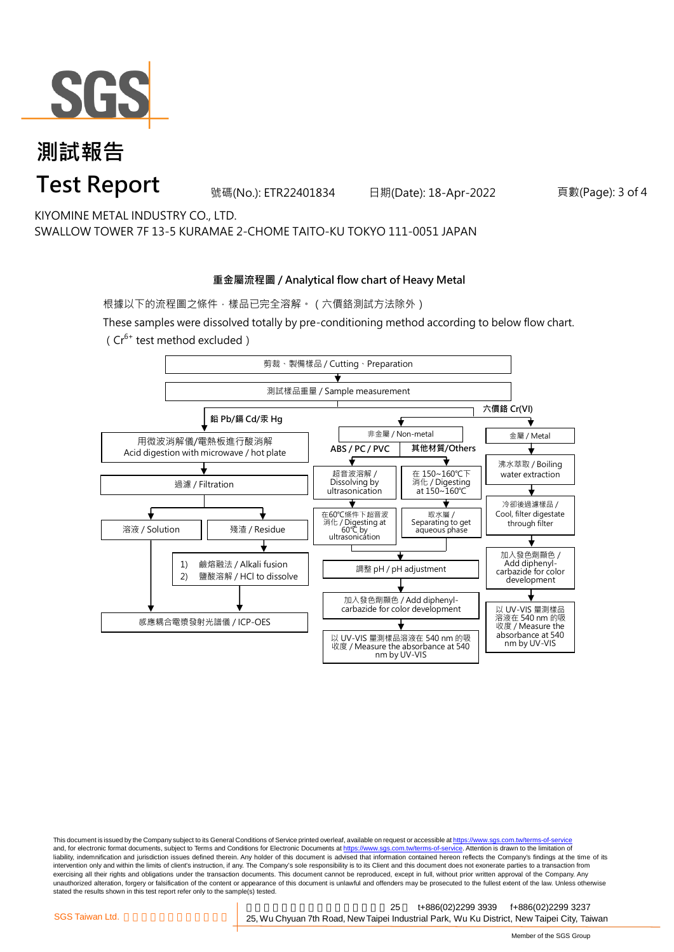

## **測試報告 Test Report**

號碼(No.): ETR22401834 日期(Date): 18-Apr-2022 頁數(Page): 3 of 4

KIYOMINE METAL INDUSTRY CO., LTD. SWALLOW TOWER 7F 13-5 KURAMAE 2-CHOME TAITO-KU TOKYO 111-0051 JAPAN

#### **重金屬流程圖 / Analytical flow chart of Heavy Metal**

根據以下的流程圖之條件,樣品已完全溶解。(六價鉻測試方法除外)

These samples were dissolved totally by pre-conditioning method according to below flow chart. ( $Cr^{6+}$  test method excluded)



This document is issued by the Company subject to its General Conditions of Service printed overleaf, available on request or accessible at https://www.sgs.com.tw/terms-of-service and, for electronic format documents, subject to Terms and Conditions for Electronic Documents at https://www.sgs.com.tw/terms-of-service. Attention is drawn to the limitation of liability, indemnification and jurisdiction issues defined therein. Any holder of this document is advised that information contained hereon reflects the Company's findings at the time of its intervention only and within the limits of client's instruction, if any. The Company's sole responsibility is to its Client and this document does not exonerate parties to a transaction from exercising all their rights and obligations under the transaction documents. This document cannot be reproduced, except in full, without prior written approval of the Company. Any<br>unauthorized alteration, forgery or falsif stated the results shown in this test report refer only to the sample(s) tested.